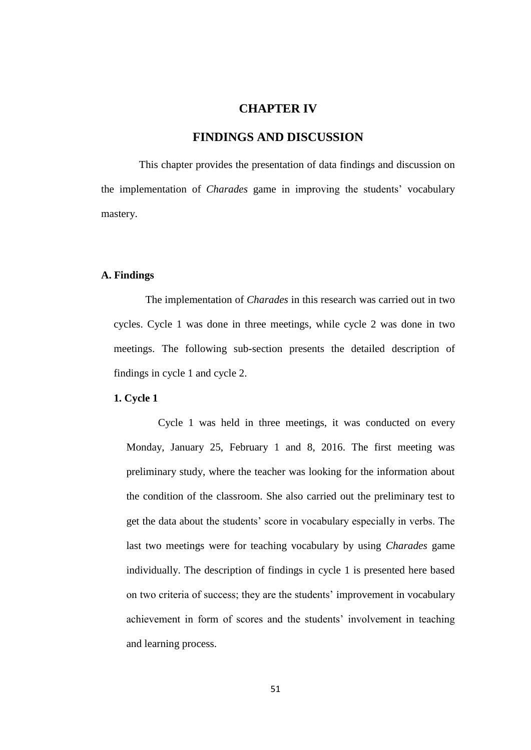# **CHAPTER IV**

# **FINDINGS AND DISCUSSION**

This chapter provides the presentation of data findings and discussion on the implementation of *Charades* game in improving the students' vocabulary mastery.

#### **A. Findings**

The implementation of *Charades* in this research was carried out in two cycles. Cycle 1 was done in three meetings, while cycle 2 was done in two meetings. The following sub-section presents the detailed description of findings in cycle 1 and cycle 2.

## **1. Cycle 1**

Cycle 1 was held in three meetings, it was conducted on every Monday, January 25, February 1 and 8, 2016. The first meeting was preliminary study, where the teacher was looking for the information about the condition of the classroom. She also carried out the preliminary test to get the data about the students' score in vocabulary especially in verbs. The last two meetings were for teaching vocabulary by using *Charades* game individually. The description of findings in cycle 1 is presented here based on two criteria of success; they are the students' improvement in vocabulary achievement in form of scores and the students' involvement in teaching and learning process.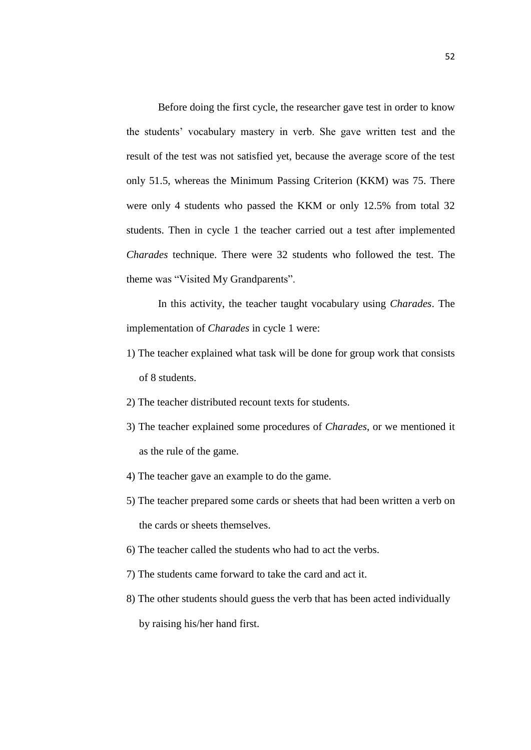Before doing the first cycle, the researcher gave test in order to know the students' vocabulary mastery in verb. She gave written test and the result of the test was not satisfied yet, because the average score of the test only 51.5, whereas the Minimum Passing Criterion (KKM) was 75. There were only 4 students who passed the KKM or only 12.5% from total 32 students. Then in cycle 1 the teacher carried out a test after implemented *Charades* technique. There were 32 students who followed the test. The theme was "Visited My Grandparents".

In this activity, the teacher taught vocabulary using *Charades*. The implementation of *Charades* in cycle 1 were:

- 1) The teacher explained what task will be done for group work that consists of 8 students.
- 2) The teacher distributed recount texts for students.
- 3) The teacher explained some procedures of *Charades*, or we mentioned it as the rule of the game.
- 4) The teacher gave an example to do the game.
- 5) The teacher prepared some cards or sheets that had been written a verb on the cards or sheets themselves.
- 6) The teacher called the students who had to act the verbs.
- 7) The students came forward to take the card and act it.
- 8) The other students should guess the verb that has been acted individually by raising his/her hand first.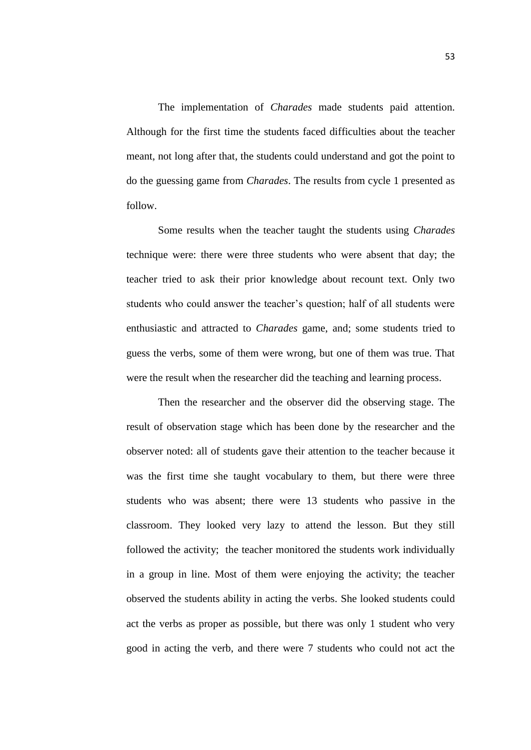The implementation of *Charades* made students paid attention. Although for the first time the students faced difficulties about the teacher meant, not long after that, the students could understand and got the point to do the guessing game from *Charades*. The results from cycle 1 presented as follow.

Some results when the teacher taught the students using *Charades* technique were: there were three students who were absent that day; the teacher tried to ask their prior knowledge about recount text. Only two students who could answer the teacher's question; half of all students were enthusiastic and attracted to *Charades* game, and; some students tried to guess the verbs, some of them were wrong, but one of them was true. That were the result when the researcher did the teaching and learning process.

Then the researcher and the observer did the observing stage. The result of observation stage which has been done by the researcher and the observer noted: all of students gave their attention to the teacher because it was the first time she taught vocabulary to them, but there were three students who was absent; there were 13 students who passive in the classroom. They looked very lazy to attend the lesson. But they still followed the activity; the teacher monitored the students work individually in a group in line. Most of them were enjoying the activity; the teacher observed the students ability in acting the verbs. She looked students could act the verbs as proper as possible, but there was only 1 student who very good in acting the verb, and there were 7 students who could not act the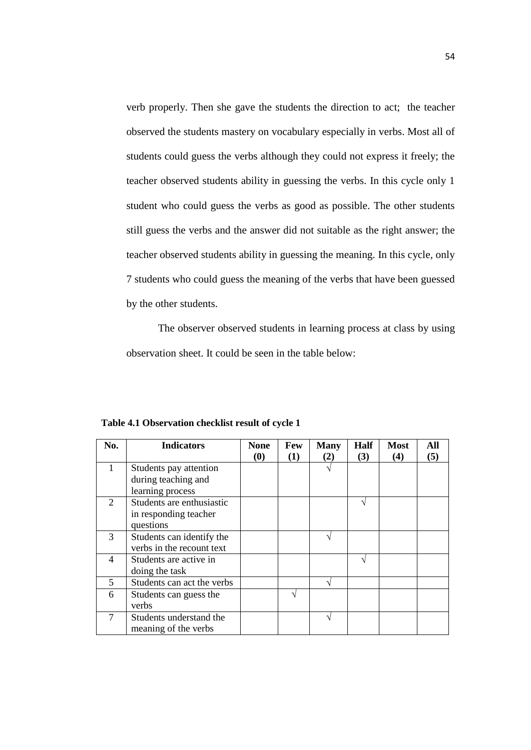verb properly. Then she gave the students the direction to act; the teacher observed the students mastery on vocabulary especially in verbs. Most all of students could guess the verbs although they could not express it freely; the teacher observed students ability in guessing the verbs. In this cycle only 1 student who could guess the verbs as good as possible. The other students still guess the verbs and the answer did not suitable as the right answer; the teacher observed students ability in guessing the meaning. In this cycle, only 7 students who could guess the meaning of the verbs that have been guessed by the other students.

The observer observed students in learning process at class by using observation sheet. It could be seen in the table below:

| No.                     | <b>Indicators</b>          | <b>None</b> | Few | <b>Many</b> | Half | <b>Most</b> | All |
|-------------------------|----------------------------|-------------|-----|-------------|------|-------------|-----|
|                         |                            | (0)         | (1) | (2)         | (3)  | (4)         | (5) |
| 1                       | Students pay attention     |             |     |             |      |             |     |
|                         | during teaching and        |             |     |             |      |             |     |
|                         | learning process           |             |     |             |      |             |     |
| 2                       | Students are enthusiastic  |             |     |             |      |             |     |
|                         | in responding teacher      |             |     |             |      |             |     |
|                         | questions                  |             |     |             |      |             |     |
| $\mathcal{R}$           | Students can identify the  |             |     |             |      |             |     |
|                         | verbs in the recount text  |             |     |             |      |             |     |
| 4                       | Students are active in     |             |     |             |      |             |     |
|                         | doing the task             |             |     |             |      |             |     |
| $\overline{\mathbf{5}}$ | Students can act the verbs |             |     |             |      |             |     |
| 6                       | Students can guess the     |             |     |             |      |             |     |
|                         | verbs                      |             |     |             |      |             |     |
|                         | Students understand the    |             |     |             |      |             |     |
|                         | meaning of the verbs       |             |     |             |      |             |     |

**Table 4.1 Observation checklist result of cycle 1**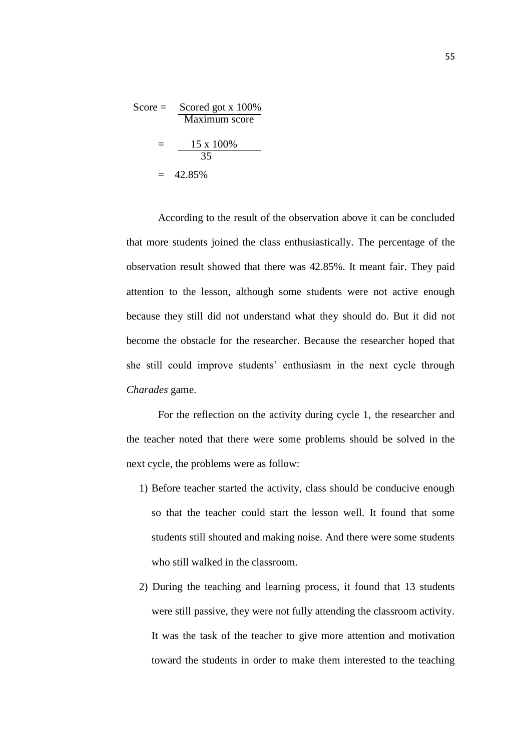$$
\text{Score} = \frac{\text{Scoreed got x 100\%}}{\text{Maximum score}}
$$
\n
$$
= \frac{15 \times 100\%}{35}
$$
\n
$$
= 42.85\%
$$

According to the result of the observation above it can be concluded that more students joined the class enthusiastically. The percentage of the observation result showed that there was 42.85%. It meant fair. They paid attention to the lesson, although some students were not active enough because they still did not understand what they should do. But it did not become the obstacle for the researcher. Because the researcher hoped that she still could improve students' enthusiasm in the next cycle through *Charades* game.

For the reflection on the activity during cycle 1, the researcher and the teacher noted that there were some problems should be solved in the next cycle, the problems were as follow:

- 1) Before teacher started the activity, class should be conducive enough so that the teacher could start the lesson well. It found that some students still shouted and making noise. And there were some students who still walked in the classroom.
- 2) During the teaching and learning process, it found that 13 students were still passive, they were not fully attending the classroom activity. It was the task of the teacher to give more attention and motivation toward the students in order to make them interested to the teaching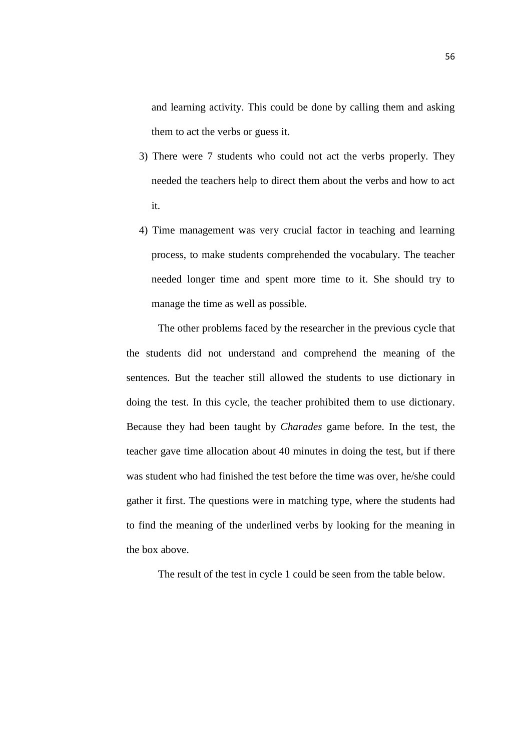and learning activity. This could be done by calling them and asking them to act the verbs or guess it.

- 3) There were 7 students who could not act the verbs properly. They needed the teachers help to direct them about the verbs and how to act it.
- 4) Time management was very crucial factor in teaching and learning process, to make students comprehended the vocabulary. The teacher needed longer time and spent more time to it. She should try to manage the time as well as possible.

The other problems faced by the researcher in the previous cycle that the students did not understand and comprehend the meaning of the sentences. But the teacher still allowed the students to use dictionary in doing the test. In this cycle, the teacher prohibited them to use dictionary. Because they had been taught by *Charades* game before. In the test, the teacher gave time allocation about 40 minutes in doing the test, but if there was student who had finished the test before the time was over, he/she could gather it first. The questions were in matching type, where the students had to find the meaning of the underlined verbs by looking for the meaning in the box above.

The result of the test in cycle 1 could be seen from the table below.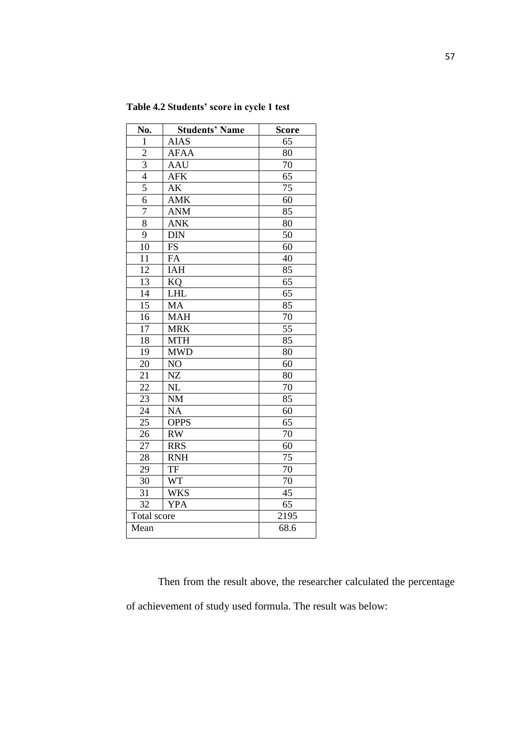| No.             | <b>Students' Name</b> | <b>Score</b>    |
|-----------------|-----------------------|-----------------|
| $\mathbf{1}$    | <b>AIAS</b>           | 65              |
| $\overline{c}$  | <b>AFAA</b>           | 80              |
| $\overline{3}$  | <b>AAU</b>            | 70              |
| $\overline{4}$  | <b>AFK</b>            | 65              |
| $\overline{5}$  | AK                    | 75              |
| $\overline{6}$  | <b>AMK</b>            | 60              |
| $\overline{7}$  | <b>ANM</b>            | 85              |
| 8               | <b>ANK</b>            | 80              |
| $\overline{9}$  | <b>DIN</b>            | 50              |
| 10              | <b>FS</b>             | 60              |
| 11              | FA                    | 40              |
| 12              | IAH                   | 85              |
| 13              | KQ                    | 65              |
| $\overline{14}$ | <b>LHL</b>            | 65              |
| $\overline{15}$ | <b>MA</b>             | 85              |
| $\overline{16}$ | <b>MAH</b>            | 70              |
| $\overline{17}$ | <b>MRK</b>            | $\overline{55}$ |
| 18              | <b>MTH</b>            | 85              |
| 19              | <b>MWD</b>            | 80              |
| 20              | NO                    | 60              |
| 21              | NZ                    | 80              |
| 22              | NL                    | 70              |
| $\overline{23}$ | <b>NM</b>             | 85              |
| $\overline{24}$ | <b>NA</b>             | 60              |
| 25              | <b>OPPS</b>           | 65              |
| $\overline{26}$ | RW                    | $\overline{70}$ |
| $2\overline{7}$ | <b>RRS</b>            | 60              |
| 28              | <b>RNH</b>            | 75              |
| 29              | TF                    | 70              |
| 30              | <b>WT</b>             | 70              |
| 31              | <b>WKS</b>            | 45              |
| 32              | <b>YPA</b>            | 65              |
| Total score     |                       | 2195            |
| Mean            |                       | 68.6            |

**Table 4.2 Students' score in cycle 1 test**

Then from the result above, the researcher calculated the percentage of achievement of study used formula. The result was below: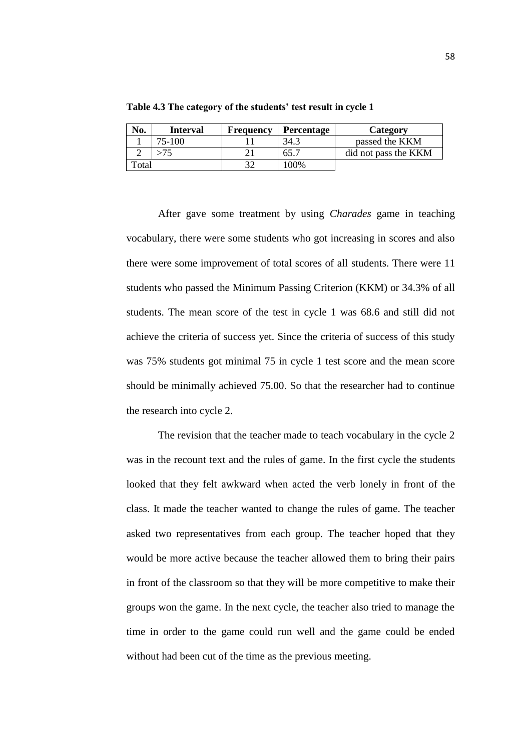| No.                 | <b>Interval</b> | Frequency | <b>Percentage</b> | <b>Category</b>      |
|---------------------|-----------------|-----------|-------------------|----------------------|
|                     | 75-100          |           | د:34              | passed the KKM       |
|                     |                 |           | 65.7              | did not pass the KKM |
| $_{\rm \sigmaatal}$ |                 |           | 100%              |                      |

**Table 4.3 The category of the students' test result in cycle 1**

After gave some treatment by using *Charades* game in teaching vocabulary, there were some students who got increasing in scores and also there were some improvement of total scores of all students. There were 11 students who passed the Minimum Passing Criterion (KKM) or 34.3% of all students. The mean score of the test in cycle 1 was 68.6 and still did not achieve the criteria of success yet. Since the criteria of success of this study was 75% students got minimal 75 in cycle 1 test score and the mean score should be minimally achieved 75.00. So that the researcher had to continue the research into cycle 2.

The revision that the teacher made to teach vocabulary in the cycle 2 was in the recount text and the rules of game. In the first cycle the students looked that they felt awkward when acted the verb lonely in front of the class. It made the teacher wanted to change the rules of game. The teacher asked two representatives from each group. The teacher hoped that they would be more active because the teacher allowed them to bring their pairs in front of the classroom so that they will be more competitive to make their groups won the game. In the next cycle, the teacher also tried to manage the time in order to the game could run well and the game could be ended without had been cut of the time as the previous meeting.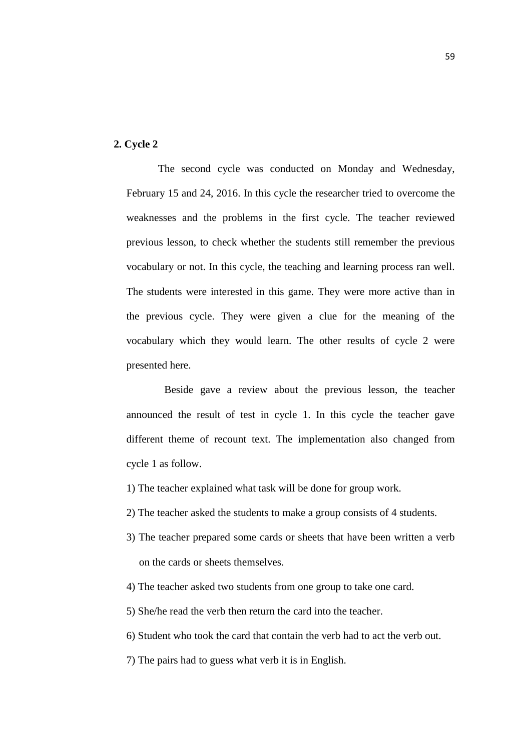## **2. Cycle 2**

The second cycle was conducted on Monday and Wednesday, February 15 and 24, 2016. In this cycle the researcher tried to overcome the weaknesses and the problems in the first cycle. The teacher reviewed previous lesson, to check whether the students still remember the previous vocabulary or not. In this cycle, the teaching and learning process ran well. The students were interested in this game. They were more active than in the previous cycle. They were given a clue for the meaning of the vocabulary which they would learn. The other results of cycle 2 were presented here.

Beside gave a review about the previous lesson, the teacher announced the result of test in cycle 1. In this cycle the teacher gave different theme of recount text. The implementation also changed from cycle 1 as follow.

- 1) The teacher explained what task will be done for group work.
- 2) The teacher asked the students to make a group consists of 4 students.
- 3) The teacher prepared some cards or sheets that have been written a verb on the cards or sheets themselves.
- 4) The teacher asked two students from one group to take one card.
- 5) She/he read the verb then return the card into the teacher.
- 6) Student who took the card that contain the verb had to act the verb out.
- 7) The pairs had to guess what verb it is in English.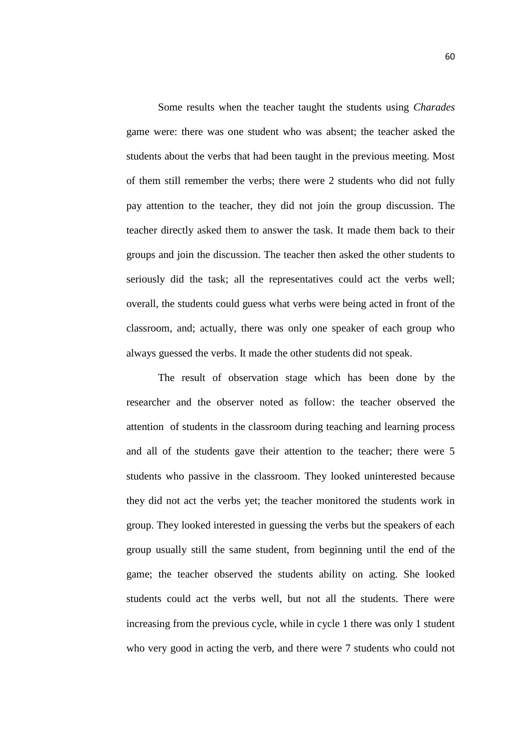Some results when the teacher taught the students using *Charades* game were: there was one student who was absent; the teacher asked the students about the verbs that had been taught in the previous meeting. Most of them still remember the verbs; there were 2 students who did not fully pay attention to the teacher, they did not join the group discussion. The teacher directly asked them to answer the task. It made them back to their groups and join the discussion. The teacher then asked the other students to seriously did the task; all the representatives could act the verbs well; overall, the students could guess what verbs were being acted in front of the classroom, and; actually, there was only one speaker of each group who always guessed the verbs. It made the other students did not speak.

The result of observation stage which has been done by the researcher and the observer noted as follow: the teacher observed the attention of students in the classroom during teaching and learning process and all of the students gave their attention to the teacher; there were 5 students who passive in the classroom. They looked uninterested because they did not act the verbs yet; the teacher monitored the students work in group. They looked interested in guessing the verbs but the speakers of each group usually still the same student, from beginning until the end of the game; the teacher observed the students ability on acting. She looked students could act the verbs well, but not all the students. There were increasing from the previous cycle, while in cycle 1 there was only 1 student who very good in acting the verb, and there were 7 students who could not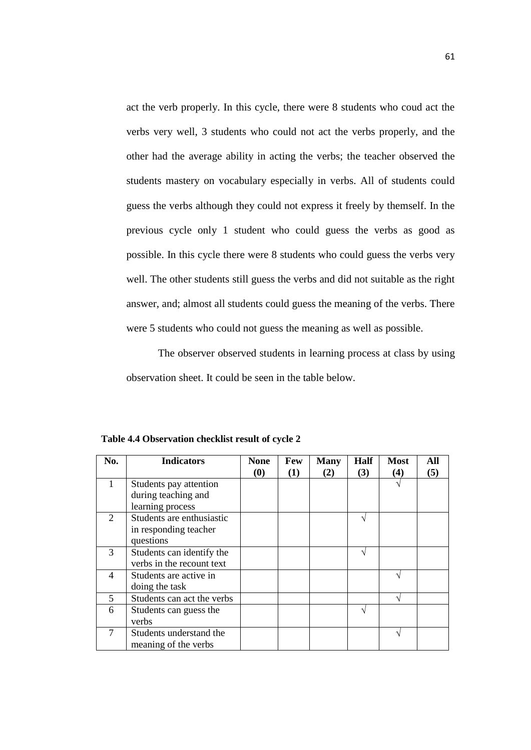act the verb properly. In this cycle, there were 8 students who coud act the verbs very well, 3 students who could not act the verbs properly, and the other had the average ability in acting the verbs; the teacher observed the students mastery on vocabulary especially in verbs. All of students could guess the verbs although they could not express it freely by themself. In the previous cycle only 1 student who could guess the verbs as good as possible. In this cycle there were 8 students who could guess the verbs very well. The other students still guess the verbs and did not suitable as the right answer, and; almost all students could guess the meaning of the verbs. There were 5 students who could not guess the meaning as well as possible.

The observer observed students in learning process at class by using observation sheet. It could be seen in the table below.

| No.                     | <b>Indicators</b>          | <b>None</b> | Few | <b>Many</b> | Half | <b>Most</b> | All |
|-------------------------|----------------------------|-------------|-----|-------------|------|-------------|-----|
|                         |                            | (0)         | (1) | (2)         | (3)  | (4)         | (5) |
| 1                       | Students pay attention     |             |     |             |      |             |     |
|                         | during teaching and        |             |     |             |      |             |     |
|                         | learning process           |             |     |             |      |             |     |
| 2                       | Students are enthusiastic  |             |     |             |      |             |     |
|                         | in responding teacher      |             |     |             |      |             |     |
|                         | questions                  |             |     |             |      |             |     |
| 3                       | Students can identify the  |             |     |             |      |             |     |
|                         | verbs in the recount text  |             |     |             |      |             |     |
| 4                       | Students are active in     |             |     |             |      |             |     |
|                         | doing the task             |             |     |             |      |             |     |
| $\overline{\mathbf{5}}$ | Students can act the verbs |             |     |             |      |             |     |
| 6                       | Students can guess the     |             |     |             |      |             |     |
|                         | verbs                      |             |     |             |      |             |     |
|                         | Students understand the    |             |     |             |      |             |     |
|                         | meaning of the verbs       |             |     |             |      |             |     |

**Table 4.4 Observation checklist result of cycle 2**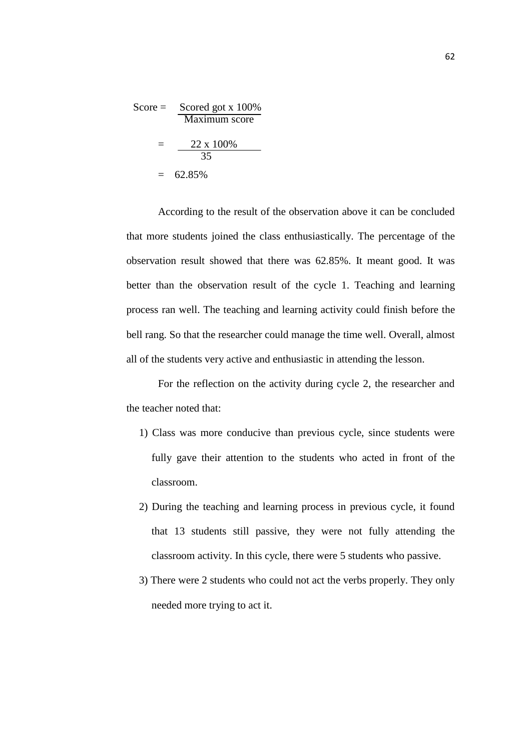$$
\text{Score} = \frac{\text{Scoreed got x 100\%}}{\text{Maximum score}}
$$
\n
$$
= \frac{22 \times 100\%}{35}
$$
\n
$$
= 62.85\%
$$

According to the result of the observation above it can be concluded that more students joined the class enthusiastically. The percentage of the observation result showed that there was 62.85%. It meant good. It was better than the observation result of the cycle 1. Teaching and learning process ran well. The teaching and learning activity could finish before the bell rang. So that the researcher could manage the time well. Overall, almost all of the students very active and enthusiastic in attending the lesson.

For the reflection on the activity during cycle 2, the researcher and the teacher noted that:

- 1) Class was more conducive than previous cycle, since students were fully gave their attention to the students who acted in front of the classroom.
- 2) During the teaching and learning process in previous cycle, it found that 13 students still passive, they were not fully attending the classroom activity. In this cycle, there were 5 students who passive.
- 3) There were 2 students who could not act the verbs properly. They only needed more trying to act it.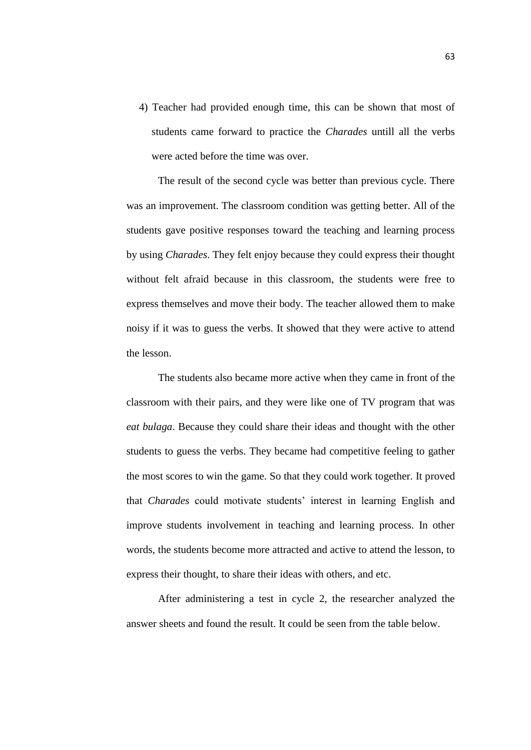4) Teacher had provided enough time, this can be shown that most of students came forward to practice the *Charades* untill all the verbs were acted before the time was over.

The result of the second cycle was better than previous cycle. There was an improvement. The classroom condition was getting better. All of the students gave positive responses toward the teaching and learning process by using *Charades*. They felt enjoy because they could express their thought without felt afraid because in this classroom, the students were free to express themselves and move their body. The teacher allowed them to make noisy if it was to guess the verbs. It showed that they were active to attend the lesson.

The students also became more active when they came in front of the classroom with their pairs, and they were like one of TV program that was *eat bulaga*. Because they could share their ideas and thought with the other students to guess the verbs. They became had competitive feeling to gather the most scores to win the game. So that they could work together. It proved that *Charades* could motivate students' interest in learning English and improve students involvement in teaching and learning process. In other words, the students become more attracted and active to attend the lesson, to express their thought, to share their ideas with others, and etc.

After administering a test in cycle 2, the researcher analyzed the answer sheets and found the result. It could be seen from the table below.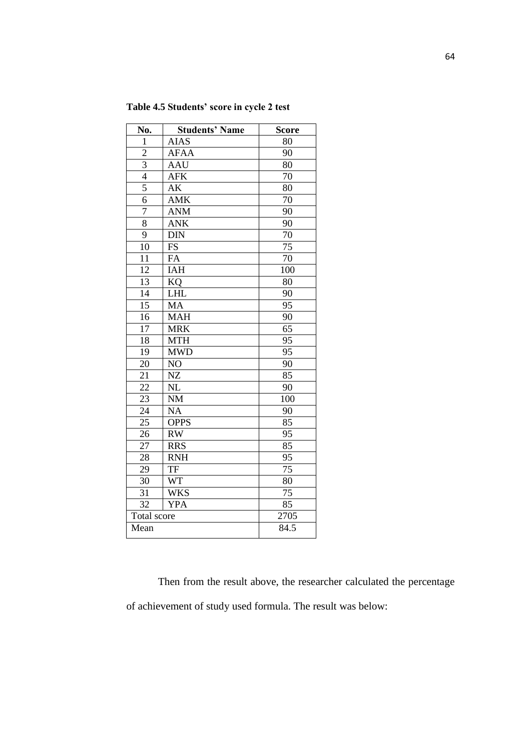| No.             | <b>Students' Name</b> | <b>Score</b>    |
|-----------------|-----------------------|-----------------|
| 1               | <b>AIAS</b>           | 80              |
| $\overline{c}$  | <b>AFAA</b>           | 90              |
| $\overline{3}$  | <b>AAU</b>            | 80              |
| $\overline{4}$  | <b>AFK</b>            | 70              |
| 5               | AK                    | 80              |
| $\overline{6}$  | AMK                   | 70              |
| 7               | <b>ANM</b>            | 90              |
| $\overline{8}$  | <b>ANK</b>            | 90              |
| 9               | <b>DIN</b>            | 70              |
| 10              | <b>FS</b>             | $\overline{75}$ |
| 11              | FA                    | 70              |
| 12              | <b>IAH</b>            | 100             |
| 13              | KQ                    | 80              |
| $\overline{14}$ | <b>LHL</b>            | 90              |
| 15              | MA                    | 95              |
| 16              | <b>MAH</b>            | 90              |
| $\overline{17}$ | <b>MRK</b>            | 65              |
| $\overline{18}$ | <b>MTH</b>            | 95              |
| 19              | <b>MWD</b>            | 95              |
| 20              | NO                    | 90              |
| 21              | NZ                    | 85              |
| 22              | NL                    | 90              |
| $\overline{23}$ | <b>NM</b>             | 100             |
| $\overline{24}$ | <b>NA</b>             | 90              |
| $\overline{25}$ | <b>OPPS</b>           | 85              |
| $\overline{26}$ | RW                    | 95              |
| $\overline{27}$ | <b>RRS</b>            | $8\overline{5}$ |
| 28              | <b>RNH</b>            | 95              |
| 29              | TF                    | $\overline{75}$ |
| 30              | <b>WT</b>             | 80              |
| 31              | <b>WKS</b>            | 75              |
| 32              | <b>YPA</b>            | 85              |
| Total score     |                       | 2705            |
| Mean            |                       | 84.5            |

**Table 4.5 Students' score in cycle 2 test**

Then from the result above, the researcher calculated the percentage of achievement of study used formula. The result was below: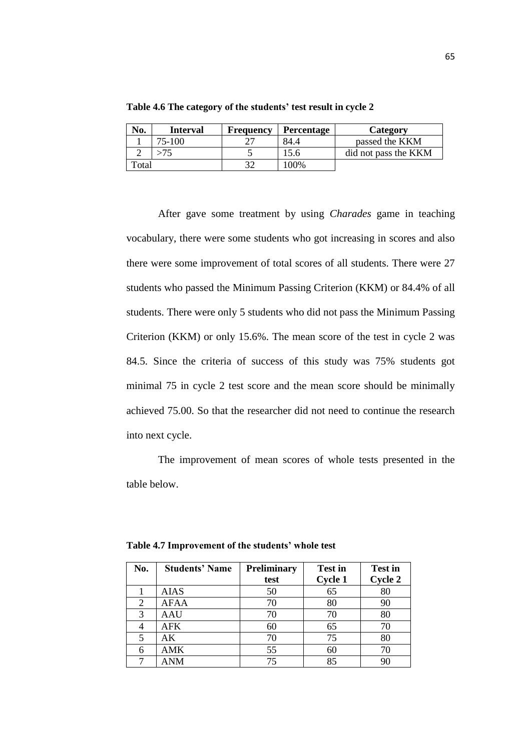| No.                   | <b>Interval</b> | Frequency | <b>Percentage</b> | <b>Category</b>      |
|-----------------------|-----------------|-----------|-------------------|----------------------|
|                       | 75-100          |           | 84.4              | passed the KKM       |
|                       |                 |           | 15.6              | did not pass the KKM |
| $_{\rm \sigma}$ Total |                 |           | 100\%             |                      |

**Table 4.6 The category of the students' test result in cycle 2**

After gave some treatment by using *Charades* game in teaching vocabulary, there were some students who got increasing in scores and also there were some improvement of total scores of all students. There were 27 students who passed the Minimum Passing Criterion (KKM) or 84.4% of all students. There were only 5 students who did not pass the Minimum Passing Criterion (KKM) or only 15.6%. The mean score of the test in cycle 2 was 84.5. Since the criteria of success of this study was 75% students got minimal 75 in cycle 2 test score and the mean score should be minimally achieved 75.00. So that the researcher did not need to continue the research into next cycle.

The improvement of mean scores of whole tests presented in the table below.

| No. | <b>Students' Name</b> | <b>Preliminary</b> | <b>Test in</b> | <b>Test in</b> |
|-----|-----------------------|--------------------|----------------|----------------|
|     |                       | test               | <b>Cycle 1</b> | Cycle 2        |
|     | <b>AIAS</b>           | 50                 | 65             | 80             |
| 2   | <b>AFAA</b>           | 70                 | 80             | 90             |
| 3   | <b>AAU</b>            | 70                 | 70             | 80             |
|     | <b>AFK</b>            | 60                 | 65             | 70             |
|     | АK                    | 70                 | 75             | 80             |
|     | AMK                   | 55                 | 60             | 70             |
|     | <b>ANM</b>            | 75                 | 85             | 90             |

**Table 4.7 Improvement of the students' whole test**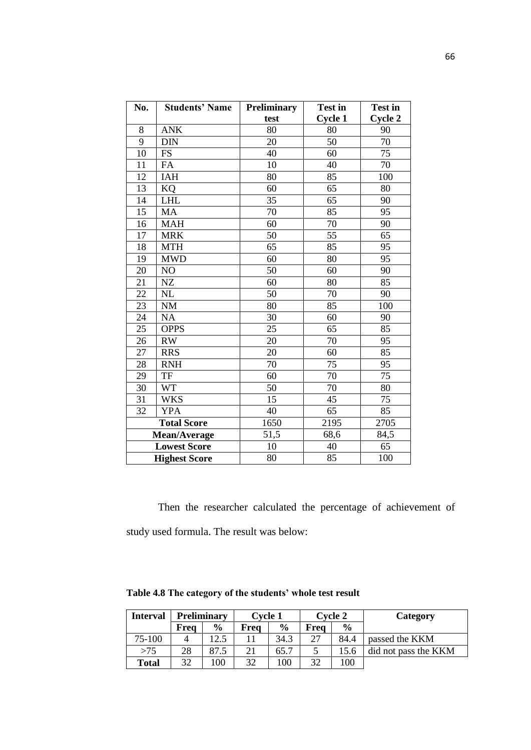| No. | <b>Students' Name</b>                            | <b>Preliminary</b> | <b>Test in</b> | <b>Test in</b>  |
|-----|--------------------------------------------------|--------------------|----------------|-----------------|
|     |                                                  | test               | <b>Cycle 1</b> | Cycle 2         |
| 8   | <b>ANK</b>                                       | 80                 | 80             | 90              |
| 9   | <b>DIN</b>                                       | 20                 | 50             | $\overline{70}$ |
| 10  | <b>FS</b>                                        | 40                 | 60             | 75              |
| 11  | FA                                               | 10                 | 40             | $\overline{70}$ |
| 12  | IAH                                              | 80                 | 85             | 100             |
| 13  | KQ                                               | 60                 | 65             | 80              |
| 14  | <b>LHL</b>                                       | 35                 | 65             | 90              |
| 15  | <b>MA</b>                                        | 70                 | 85             | 95              |
| 16  | <b>MAH</b>                                       | 60                 | 70             | 90              |
| 17  | <b>MRK</b>                                       | 50                 | 55             | 65              |
| 18  | <b>MTH</b>                                       | 65                 | 85             | 95              |
| 19  | <b>MWD</b>                                       | 60                 | 80             | $\overline{95}$ |
| 20  | NO                                               | 50                 | 60             | 90              |
| 21  | NZ                                               | 60                 | 80             | 85              |
| 22  | NL                                               | 50                 | 70             | 90              |
| 23  | <b>NM</b>                                        | 80                 | 85             | 100             |
| 24  | NA                                               | 30                 | 60             | 90              |
| 25  | <b>OPPS</b>                                      | 25                 | 65             | 85              |
| 26  | <b>RW</b>                                        | 20                 | 70             | 95              |
| 27  | <b>RRS</b>                                       | 20                 | 60             | $\overline{85}$ |
| 28  | <b>RNH</b>                                       | 70                 | 75             | 95              |
| 29  | $\ensuremath{\mathsf{T}}\ensuremath{\mathsf{F}}$ | 60                 | 70             | $\overline{75}$ |
| 30  | <b>WT</b>                                        | 50                 | 70             | 80              |
| 31  | <b>WKS</b>                                       | $\overline{15}$    | 45             | $\overline{75}$ |
| 32  | <b>YPA</b>                                       | 40                 | 65             | 85              |
|     | <b>Total Score</b>                               | 1650               | 2195           | 2705            |
|     | Mean/Average                                     | 51,5               | 68,6           | 84,5            |
|     | <b>Lowest Score</b>                              | 10                 | 40             | 65              |
|     | <b>Highest Score</b>                             | 80                 | 85             | 100             |

Then the researcher calculated the percentage of achievement of study used formula. The result was below:

| <b>Interval</b> |      | <b>Preliminary</b> | Cvcle 1 |               | <b>Cvcle 2</b> |               | Category             |
|-----------------|------|--------------------|---------|---------------|----------------|---------------|----------------------|
|                 | Frea | $\frac{6}{9}$      | Frea    | $\frac{6}{6}$ | Frea           | $\frac{0}{0}$ |                      |
| 75-100          |      | 12.5               |         | 34.3          | 27             | 84.4          | passed the KKM       |
| >75             | 28   | 87.5               | 21      | 65.7          |                | 15.6          | did not pass the KKM |
| <b>Total</b>    | 32   | 100                | 32      | 100           | 32             | 100           |                      |

**Table 4.8 The category of the students' whole test result**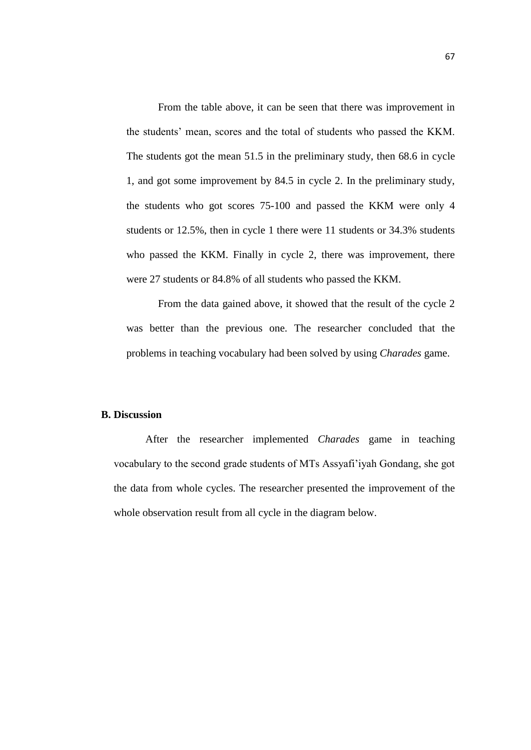From the table above, it can be seen that there was improvement in the students' mean, scores and the total of students who passed the KKM. The students got the mean 51.5 in the preliminary study, then 68.6 in cycle 1, and got some improvement by 84.5 in cycle 2. In the preliminary study, the students who got scores 75-100 and passed the KKM were only 4 students or 12.5%, then in cycle 1 there were 11 students or 34.3% students who passed the KKM. Finally in cycle 2, there was improvement, there were 27 students or 84.8% of all students who passed the KKM.

From the data gained above, it showed that the result of the cycle 2 was better than the previous one. The researcher concluded that the problems in teaching vocabulary had been solved by using *Charades* game.

## **B. Discussion**

After the researcher implemented *Charades* game in teaching vocabulary to the second grade students of MTs Assyafi'iyah Gondang, she got the data from whole cycles. The researcher presented the improvement of the whole observation result from all cycle in the diagram below.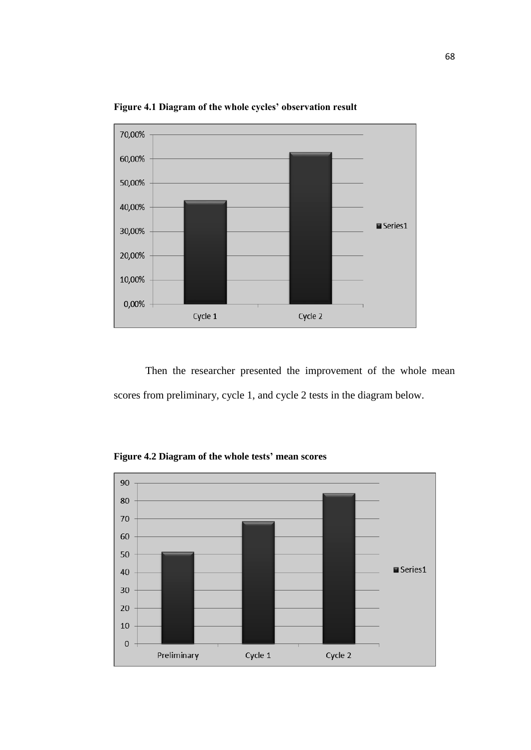

**Figure 4.1 Diagram of the whole cycles' observation result**

Then the researcher presented the improvement of the whole mean scores from preliminary, cycle 1, and cycle 2 tests in the diagram below.

**Figure 4.2 Diagram of the whole tests' mean scores**

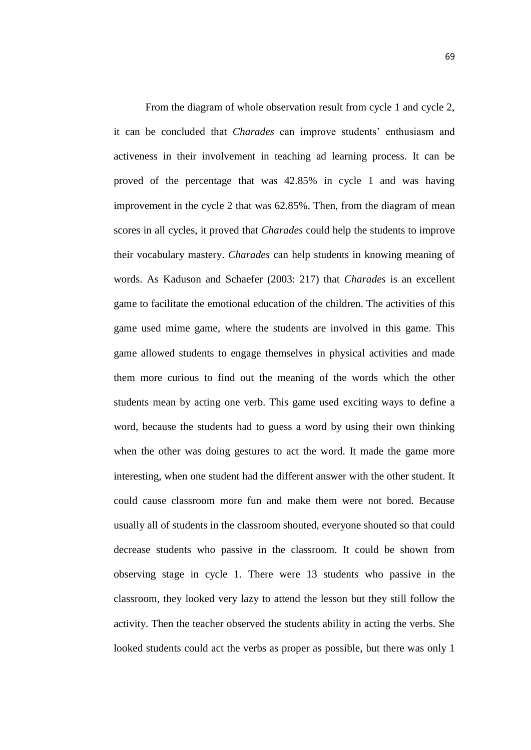From the diagram of whole observation result from cycle 1 and cycle 2, it can be concluded that *Charades* can improve students' enthusiasm and activeness in their involvement in teaching ad learning process. It can be proved of the percentage that was 42.85% in cycle 1 and was having improvement in the cycle 2 that was 62.85%. Then, from the diagram of mean scores in all cycles, it proved that *Charades* could help the students to improve their vocabulary mastery. *Charades* can help students in knowing meaning of words. As Kaduson and Schaefer (2003: 217) that *Charades* is an excellent game to facilitate the emotional education of the children. The activities of this game used mime game, where the students are involved in this game. This game allowed students to engage themselves in physical activities and made them more curious to find out the meaning of the words which the other students mean by acting one verb. This game used exciting ways to define a word, because the students had to guess a word by using their own thinking when the other was doing gestures to act the word. It made the game more interesting, when one student had the different answer with the other student. It could cause classroom more fun and make them were not bored. Because usually all of students in the classroom shouted, everyone shouted so that could decrease students who passive in the classroom. It could be shown from observing stage in cycle 1. There were 13 students who passive in the classroom, they looked very lazy to attend the lesson but they still follow the activity. Then the teacher observed the students ability in acting the verbs. She looked students could act the verbs as proper as possible, but there was only 1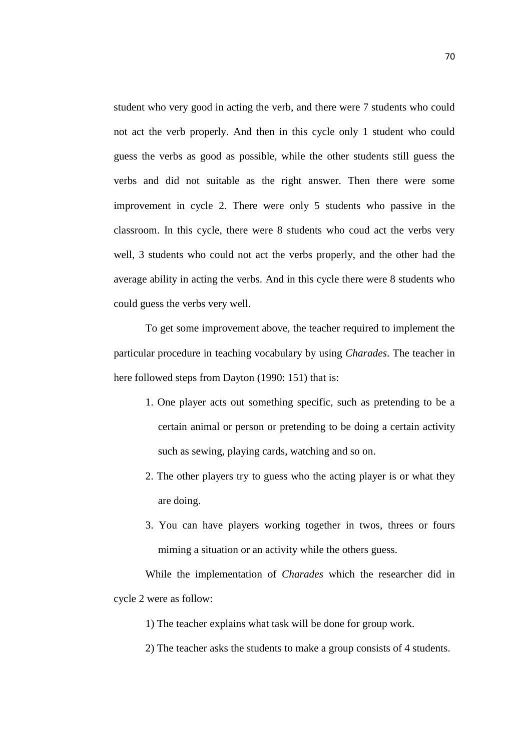student who very good in acting the verb, and there were 7 students who could not act the verb properly. And then in this cycle only 1 student who could guess the verbs as good as possible, while the other students still guess the verbs and did not suitable as the right answer. Then there were some improvement in cycle 2. There were only 5 students who passive in the classroom. In this cycle, there were 8 students who coud act the verbs very well, 3 students who could not act the verbs properly, and the other had the average ability in acting the verbs. And in this cycle there were 8 students who could guess the verbs very well.

To get some improvement above, the teacher required to implement the particular procedure in teaching vocabulary by using *Charades*. The teacher in here followed steps from Dayton (1990: 151) that is:

- 1. One player acts out something specific, such as pretending to be a certain animal or person or pretending to be doing a certain activity such as sewing, playing cards, watching and so on.
- 2. The other players try to guess who the acting player is or what they are doing.
- 3. You can have players working together in twos, threes or fours miming a situation or an activity while the others guess.

While the implementation of *Charades* which the researcher did in cycle 2 were as follow:

1) The teacher explains what task will be done for group work.

2) The teacher asks the students to make a group consists of 4 students.